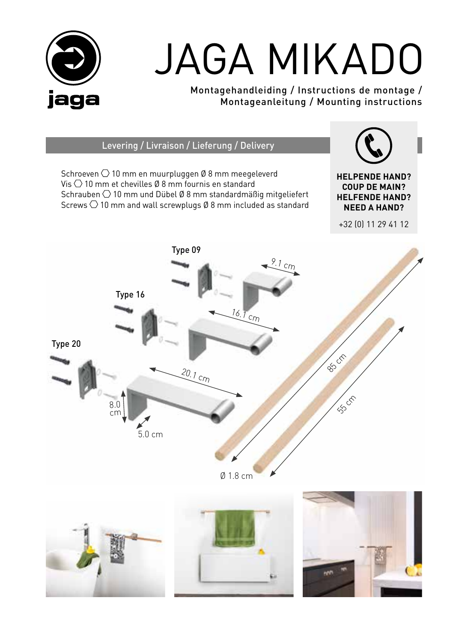

# JAGA MIKADO

Montagehandleiding / Instructions de montage / Montageanleitung / Mounting instructions

Levering / Livraison / Lieferung / Delivery

Schroeven  $\bigcirc$  10 mm en muurpluggen Ø 8 mm meegeleverd Vis  $\bigcirc$  10 mm et chevilles Ø 8 mm fournis en standard Schrauben  $\bigcirc$  10 mm und Dübel Ø 8 mm standardmäßig mitgeliefert Screws  $\bigcirc$  10 mm and wall screwplugs Ø 8 mm included as standard

**HELPENDE HAND? COUP DE MAIN? HELFENDE HAND? NEED A HAND?**

+32 (0) 11 29 41 12



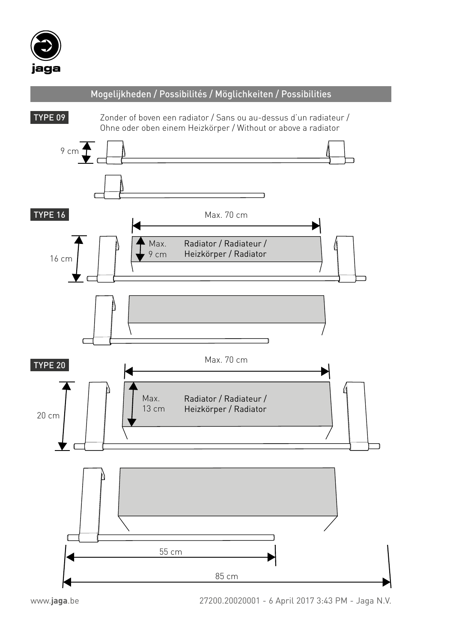



www.**jaga**.be 27200.20020001 - 6 April 2017 3:43 PM - Jaga N.V. 85 cm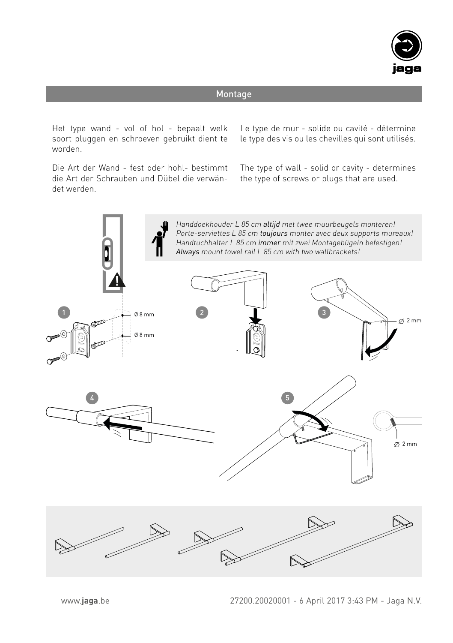

# Montage

Het type wand - vol of hol - bepaalt welk soort pluggen en schroeven gebruikt dient te worden.

Die Art der Wand - fest oder hohl- bestimmt die Art der Schrauben und Dübel die verwändet werden.

Le type de mur - solide ou cavité - détermine le type des vis ou les chevilles qui sont utilisés.

The type of wall - solid or cavity - determines the type of screws or plugs that are used.